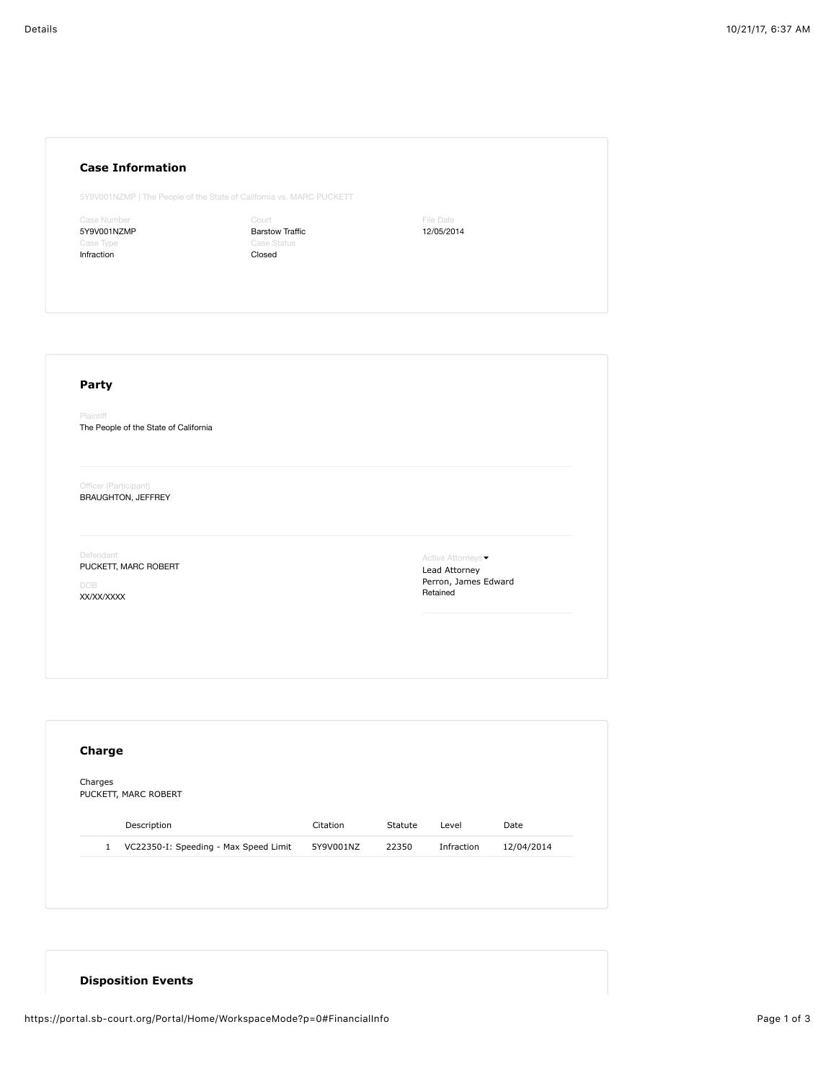## **Case Information**

5Y9V001NZMP | The People of the State of California vs. MARC PUCKETT

ase Numbe 5Y9V001NZMP Infraction

Court Barstow Traffic Closed

File Date 12/05/2014

## **Party**

Plaintiff The People of the State of California

Officer (Participant) BRAUGHTON, JEFFREY

Defendant

PUCKETT, MARC ROBERT

DOB XX/XX/XXXX

Active Attorneys • Lead Attorney Perron, James Edward Retained

| Charges      | PUCKETT, MARC ROBERT                  |           |         |            |            |
|--------------|---------------------------------------|-----------|---------|------------|------------|
|              |                                       |           |         |            |            |
|              | Description                           | Citation  | Statute | Level      | Date       |
| $\mathbf{1}$ | VC22350-I: Speeding - Max Speed Limit | 5Y9V001NZ | 22350   | Infraction | 12/04/2014 |

## **Disposition Events**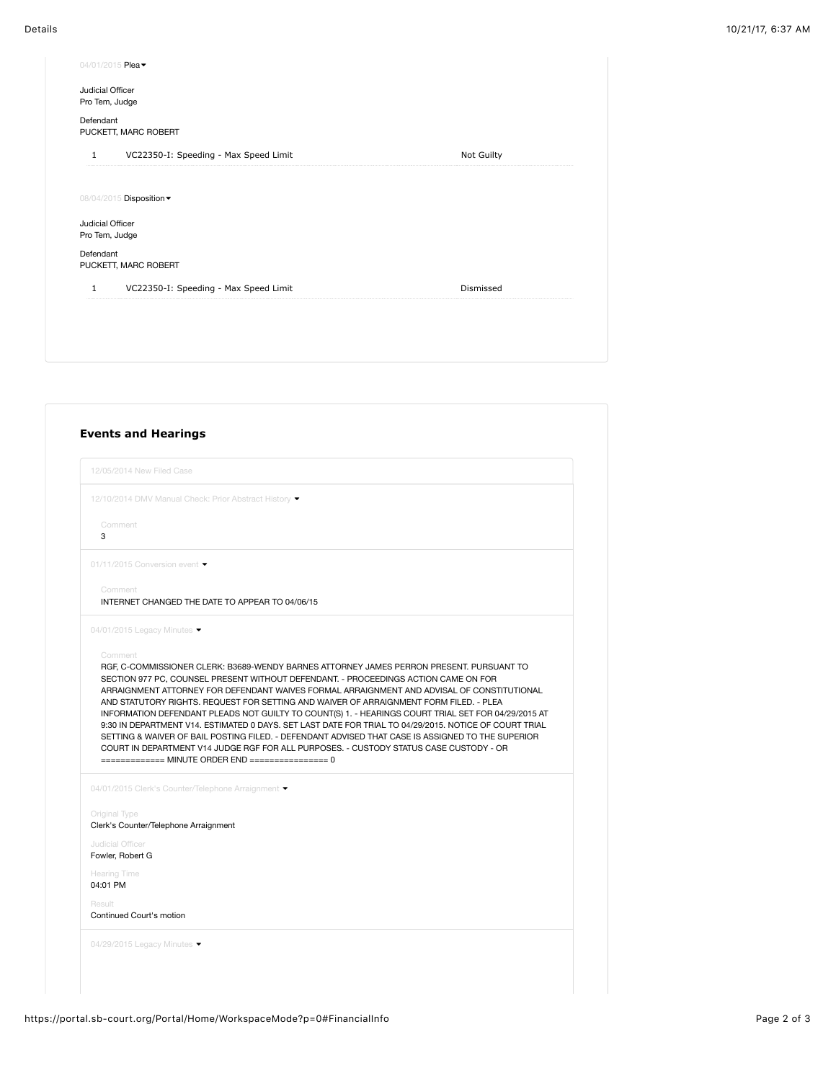|                                    | 04/01/2015 Plea -                     |            |
|------------------------------------|---------------------------------------|------------|
| Judicial Officer<br>Pro Tem, Judge |                                       |            |
| Defendant                          | PUCKETT, MARC ROBERT                  |            |
| $\mathbf{1}$                       | VC22350-I: Speeding - Max Speed Limit | Not Guilty |
|                                    |                                       |            |
|                                    | 08/04/2015 Disposition -              |            |
| Judicial Officer<br>Pro Tem, Judge |                                       |            |
| Defendant                          | PUCKETT, MARC ROBERT                  |            |
| $\mathbf{1}$                       | VC22350-I: Speeding - Max Speed Limit | Dismissed  |
|                                    |                                       |            |
|                                    |                                       |            |
|                                    |                                       |            |

|                                      | 12/05/2014 New Filed Case                                                                                                                                                                                                                                                                                                                                                                                                                                                      |
|--------------------------------------|--------------------------------------------------------------------------------------------------------------------------------------------------------------------------------------------------------------------------------------------------------------------------------------------------------------------------------------------------------------------------------------------------------------------------------------------------------------------------------|
|                                      | 12/10/2014 DMV Manual Check: Prior Abstract History ▼                                                                                                                                                                                                                                                                                                                                                                                                                          |
| Comment<br>3                         |                                                                                                                                                                                                                                                                                                                                                                                                                                                                                |
|                                      | 01/11/2015 Conversion event ▼                                                                                                                                                                                                                                                                                                                                                                                                                                                  |
| Comment                              | INTERNET CHANGED THE DATE TO APPEAR TO 04/06/15                                                                                                                                                                                                                                                                                                                                                                                                                                |
|                                      | 04/01/2015 Legacy Minutes $\blacktriangledown$                                                                                                                                                                                                                                                                                                                                                                                                                                 |
| Comment                              | RGF, C-COMMISSIONER CLERK: B3689-WENDY BARNES ATTORNEY JAMES PERRON PRESENT, PURSUANT TO<br>SECTION 977 PC, COUNSEL PRESENT WITHOUT DEFENDANT. - PROCEEDINGS ACTION CAME ON FOR<br>ARRAIGNMENT ATTORNEY FOR DEFENDANT WAIVES FORMAL ARRAIGNMENT AND ADVISAL OF CONSTITUTIONAL<br>AND STATUTORY RIGHTS. REQUEST FOR SETTING AND WAIVER OF ARRAIGNMENT FORM FILED. - PLEA<br>INFORMATION DEFENDANT PLEADS NOT GUILTY TO COUNT(S) 1. - HEARINGS COURT TRIAL SET FOR 04/29/2015 AT |
|                                      | 9:30 IN DEPARTMENT V14. ESTIMATED 0 DAYS, SET LAST DATE FOR TRIAL TO 04/29/2015, NOTICE OF COURT TRIAL<br>SETTING & WAIVER OF BAIL POSTING FILED. - DEFENDANT ADVISED THAT CASE IS ASSIGNED TO THE SUPERIOR<br>COURT IN DEPARTMENT V14 JUDGE RGF FOR ALL PURPOSES. - CUSTODY STATUS CASE CUSTODY - OR<br>============= MINUTE ORDER END ================= 0                                                                                                                    |
|                                      | 04/01/2015 Clerk's Counter/Telephone Arraignment ▼                                                                                                                                                                                                                                                                                                                                                                                                                             |
| Original Type                        | Clerk's Counter/Telephone Arraignment                                                                                                                                                                                                                                                                                                                                                                                                                                          |
| Judicial Officer<br>Fowler, Robert G |                                                                                                                                                                                                                                                                                                                                                                                                                                                                                |
| <b>Hearing Time</b><br>04:01 PM      |                                                                                                                                                                                                                                                                                                                                                                                                                                                                                |